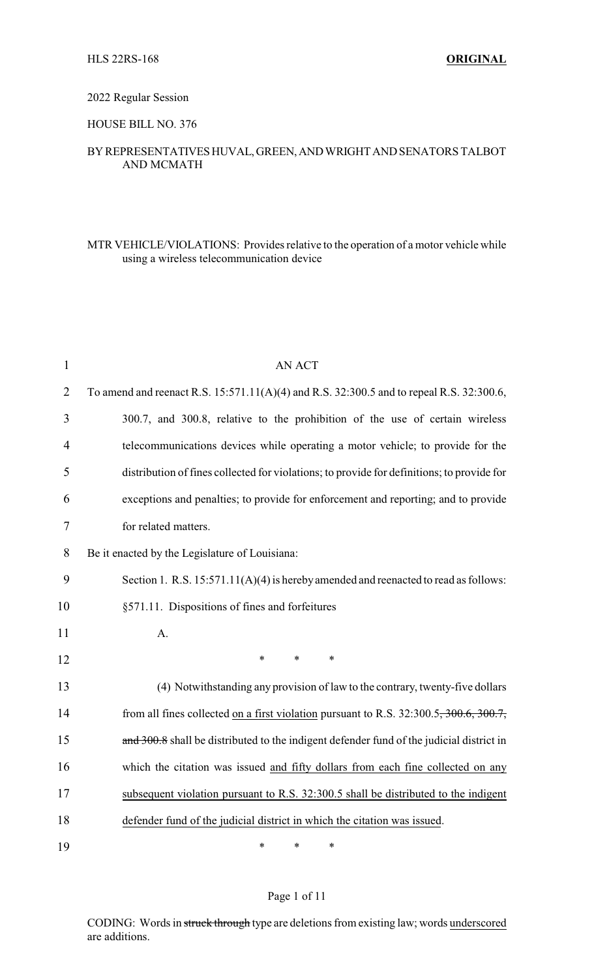#### 2022 Regular Session

### HOUSE BILL NO. 376

## BYREPRESENTATIVESHUVAL,GREEN,ANDWRIGHTANDSENATORS TALBOT AND MCMATH

### MTR VEHICLE/VIOLATIONS: Provides relative to the operation of a motor vehicle while using a wireless telecommunication device

| $\mathbf{1}$   | <b>AN ACT</b>                                                                              |
|----------------|--------------------------------------------------------------------------------------------|
| $\overline{2}$ | To amend and reenact R.S. 15:571.11(A)(4) and R.S. 32:300.5 and to repeal R.S. 32:300.6,   |
| 3              | 300.7, and 300.8, relative to the prohibition of the use of certain wireless               |
| 4              | telecommunications devices while operating a motor vehicle; to provide for the             |
| 5              | distribution of fines collected for violations; to provide for definitions; to provide for |
| 6              | exceptions and penalties; to provide for enforcement and reporting; and to provide         |
| 7              | for related matters.                                                                       |
| 8              | Be it enacted by the Legislature of Louisiana:                                             |
| 9              | Section 1. R.S. 15:571.11(A)(4) is hereby amended and reenacted to read as follows:        |
| 10             | §571.11. Dispositions of fines and forfeitures                                             |
| 11             | A.                                                                                         |
| 12             | $\ast$<br>$\ast$<br>$\ast$                                                                 |
| 13             | (4) Notwithstanding any provision of law to the contrary, twenty-five dollars              |
| 14             | from all fines collected on a first violation pursuant to R.S. 32:300.5, 300.6, 300.7,     |
| 15             | and 300.8 shall be distributed to the indigent defender fund of the judicial district in   |
| 16             | which the citation was issued and fifty dollars from each fine collected on any            |
| 17             | subsequent violation pursuant to R.S. 32:300.5 shall be distributed to the indigent        |
| 18             | defender fund of the judicial district in which the citation was issued.                   |
| 19             | ∗<br>∗<br>∗                                                                                |

### Page 1 of 11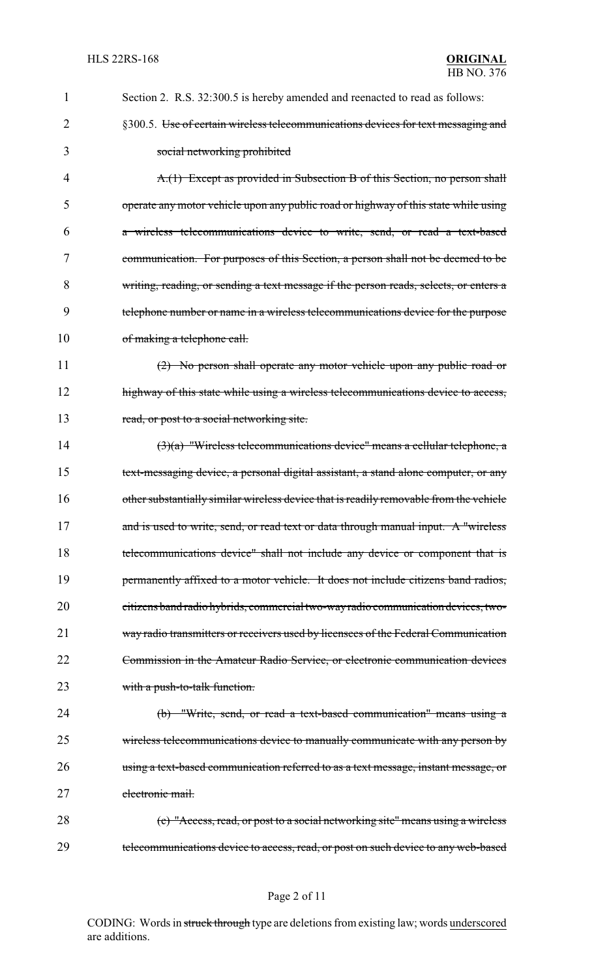| 1  | Section 2. R.S. 32:300.5 is hereby amended and reenacted to read as follows:           |
|----|----------------------------------------------------------------------------------------|
| 2  | §300.5. Use of certain wireless telecommunications devices for text messaging and      |
| 3  | social networking prohibited                                                           |
| 4  | A.(1) Except as provided in Subsection B of this Section, no person shall              |
| 5  | operate any motor vehicle upon any public road or highway of this state while using    |
| 6  | a wireless telecommunications device to write, send, or read a text-based              |
| 7  | communication. For purposes of this Section, a person shall not be deemed to be        |
| 8  | writing, reading, or sending a text message if the person reads, selects, or enters a  |
| 9  | telephone number or name in a wireless telecommunications device for the purpose       |
| 10 | of making a telephone call.                                                            |
| 11 | $(2)$ No person shall operate any motor vehicle upon any public road or                |
| 12 | highway of this state while using a wireless telecommunications device to access,      |
| 13 | read, or post to a social networking site.                                             |
| 14 | $(3)(a)$ "Wireless telecommunications device" means a cellular telephone, a            |
| 15 | text-messaging device, a personal digital assistant, a stand alone computer, or any    |
| 16 | other substantially similar wireless device that is readily removable from the vehicle |
| 17 | and is used to write, send, or read text or data through manual input. A "wireless     |
| 18 | telecommunications device" shall not include any device or component that is           |
| 19 | permanently affixed to a motor vehicle. It does not include citizens band radios,      |
| 20 | eitizens band radio hybrids, commercial two-way radio communication devices, two-      |
| 21 | way radio transmitters or receivers used by licensees of the Federal Communication     |
| 22 | Commission in the Amateur Radio Service, or electronic communication devices           |
| 23 | with a push-to-talk function.                                                          |
| 24 | (b) "Write, send, or read a text-based communication" means using a                    |
| 25 | wireless telecommunications device to manually communicate with any person by          |
| 26 | using a text-based communication referred to as a text message, instant message, or    |
| 27 | electronic mail.                                                                       |
| 28 | (c) "Access, read, or post to a social networking site" means using a wireless         |
| 29 | telecommunications device to access, read, or post on such device to any web-based     |

# Page 2 of 11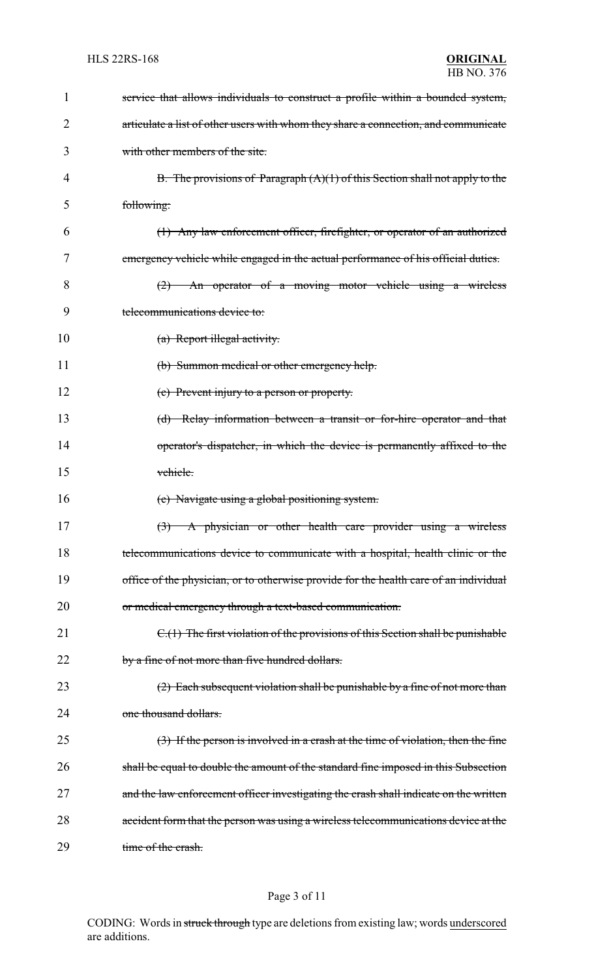| 1  | service that allows individuals to construct a profile within a bounded system,       |
|----|---------------------------------------------------------------------------------------|
| 2  | articulate a list of other users with whom they share a connection, and communicate   |
| 3  | with other members of the site.                                                       |
| 4  | B. The provisions of Paragraph $(A)(1)$ of this Section shall not apply to the        |
| 5  | following:                                                                            |
| 6  | (1) Any law enforcement officer, firefighter, or operator of an authorized            |
| 7  | emergency vehicle while engaged in the actual performance of his official duties.     |
| 8  | $(2)$ An operator of a moving motor vehicle using a wireless                          |
| 9  | telecommunications device to:                                                         |
| 10 | (a) Report illegal activity.                                                          |
| 11 | (b) Summon medical or other emergency help.                                           |
| 12 | (c) Prevent injury to a person or property.                                           |
| 13 | (d) Relay information between a transit or for-hire operator and that                 |
| 14 | operator's dispatcher, in which the device is permanently affixed to the              |
| 15 | vehicle.                                                                              |
| 16 | (e) Navigate using a global positioning system.                                       |
| 17 | (3) A physician or other health care provider using a wireless                        |
| 18 | telecommunications device to communicate with a hospital, health clinic or the        |
| 19 | office of the physician, or to otherwise provide for the health care of an individual |
| 20 | or medical emergency through a text-based communication.                              |
| 21 | $C1(1)$ The first violation of the provisions of this Section shall be punishable     |
| 22 | by a fine of not more than five hundred dollars.                                      |
| 23 | $(2)$ Each subsequent violation shall be punishable by a fine of not more than        |
| 24 | one thousand dollars.                                                                 |
| 25 | $(3)$ If the person is involved in a crash at the time of violation, then the fine    |
| 26 | shall be equal to double the amount of the standard fine imposed in this Subsection   |
| 27 | and the law enforcement officer investigating the crash shall indicate on the written |
| 28 | accident form that the person was using a wireless telecommunications device at the   |
|    |                                                                                       |

# Page 3 of 11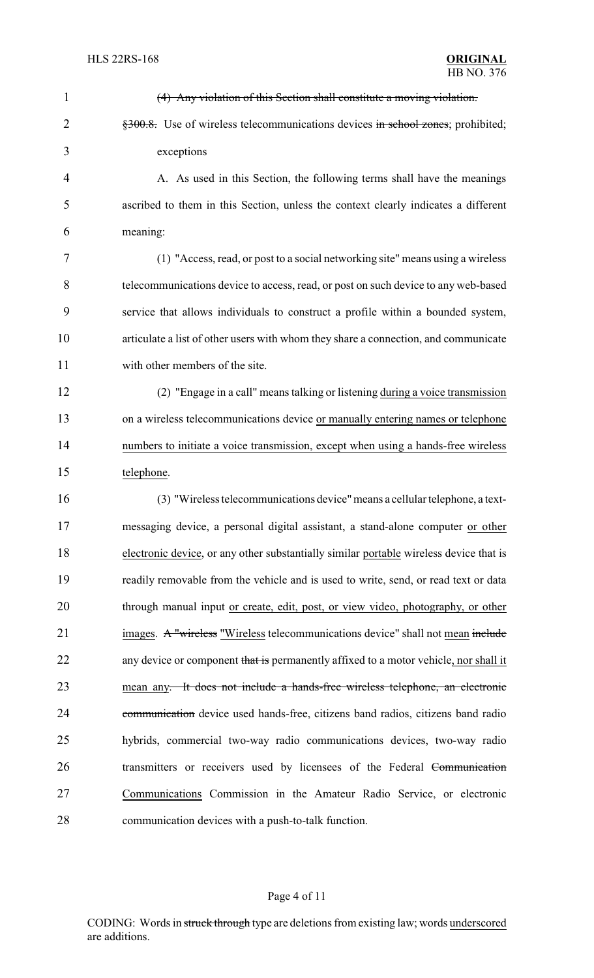| $\mathbf{1}$   | (4) Any violation of this Section shall constitute a moving violation.                    |
|----------------|-------------------------------------------------------------------------------------------|
| $\overline{2}$ | $\frac{1}{200}$ , Use of wireless telecommunications devices in school zones; prohibited; |
| 3              | exceptions                                                                                |
| 4              | A. As used in this Section, the following terms shall have the meanings                   |
| 5              | ascribed to them in this Section, unless the context clearly indicates a different        |
| 6              | meaning:                                                                                  |
| 7              | (1) "Access, read, or post to a social networking site" means using a wireless            |
| 8              | telecommunications device to access, read, or post on such device to any web-based        |
| 9              | service that allows individuals to construct a profile within a bounded system,           |
| 10             | articulate a list of other users with whom they share a connection, and communicate       |
| 11             | with other members of the site.                                                           |
| 12             | (2) "Engage in a call" means talking or listening during a voice transmission             |
| 13             | on a wireless telecommunications device or manually entering names or telephone           |
| 14             | numbers to initiate a voice transmission, except when using a hands-free wireless         |
| 15             | telephone.                                                                                |
| 16             | (3) "Wireless telecommunications device" means a cellular telephone, a text-              |
| 17             | messaging device, a personal digital assistant, a stand-alone computer or other           |
| 18             | electronic device, or any other substantially similar portable wireless device that is    |
| 19             | readily removable from the vehicle and is used to write, send, or read text or data       |
| 20             | through manual input or create, edit, post, or view video, photography, or other          |
| 21             | images. A "wireless "Wireless telecommunications device" shall not mean include           |
| 22             | any device or component that is permanently affixed to a motor vehicle, nor shall it      |
| 23             | mean any. It does not include a hands-free wireless telephone, an electronic              |
| 24             | communication device used hands-free, citizens band radios, citizens band radio           |
| 25             | hybrids, commercial two-way radio communications devices, two-way radio                   |
| 26             | transmitters or receivers used by licensees of the Federal Communication                  |
| 27             | Communications Commission in the Amateur Radio Service, or electronic                     |
| 28             | communication devices with a push-to-talk function.                                       |

# Page 4 of 11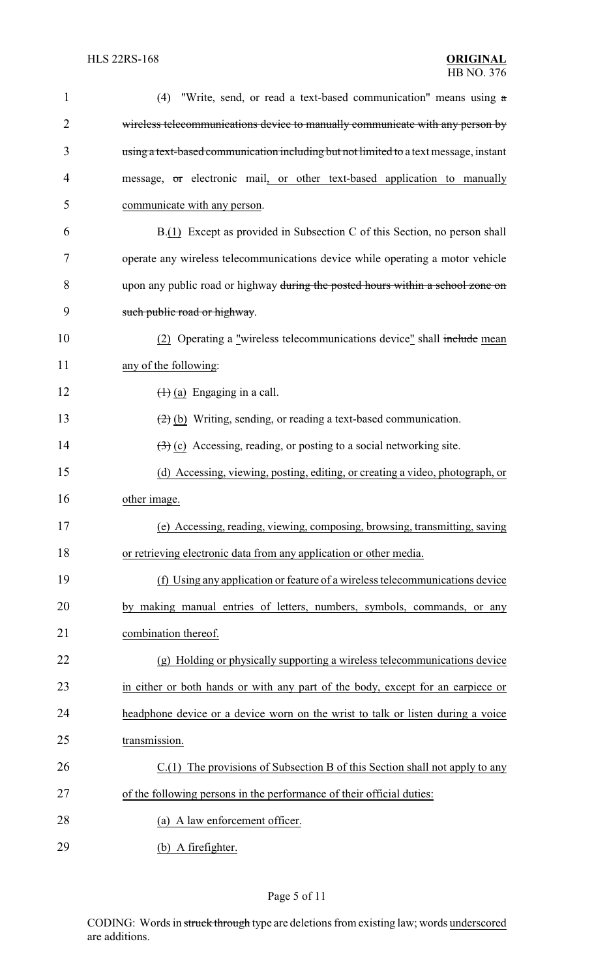| 1              | (4) "Write, send, or read a text-based communication" means using $a$                      |
|----------------|--------------------------------------------------------------------------------------------|
| $\overline{2}$ | wireless telecommunications device to manually communicate with any person by              |
| 3              | using a text-based communication including but not limited to a text message, instant      |
| 4              | message, or electronic mail, or other text-based application to manually                   |
| 5              | communicate with any person.                                                               |
| 6              | B.(1) Except as provided in Subsection C of this Section, no person shall                  |
| 7              | operate any wireless telecommunications device while operating a motor vehicle             |
| 8              | upon any public road or highway during the posted hours within a school zone on            |
| 9              | such public road or highway.                                                               |
| 10             | (2) Operating a "wireless telecommunications device" shall include mean                    |
| 11             | any of the following:                                                                      |
| 12             | $(1)$ (a) Engaging in a call.                                                              |
| 13             | $(2)$ (b) Writing, sending, or reading a text-based communication.                         |
| 14             | $\left(\frac{1}{2}\right)$ (c) Accessing, reading, or posting to a social networking site. |
| 15             | (d) Accessing, viewing, posting, editing, or creating a video, photograph, or              |
| 16             | other image.                                                                               |
| 17             | (e) Accessing, reading, viewing, composing, browsing, transmitting, saving                 |
| 18             | or retrieving electronic data from any application or other media.                         |
| 19             | (f) Using any application or feature of a wireless telecommunications device               |
| 20             | by making manual entries of letters, numbers, symbols, commands, or any                    |
| 21             | combination thereof.                                                                       |
| 22             | (g) Holding or physically supporting a wireless telecommunications device                  |
| 23             | in either or both hands or with any part of the body, except for an earpiece or            |
| 24             | headphone device or a device worn on the wrist to talk or listen during a voice            |
| 25             | transmission.                                                                              |
| 26             | C.(1) The provisions of Subsection B of this Section shall not apply to any                |
| 27             | of the following persons in the performance of their official duties:                      |
| 28             | (a) A law enforcement officer.                                                             |
| 29             | (b) A firefighter.                                                                         |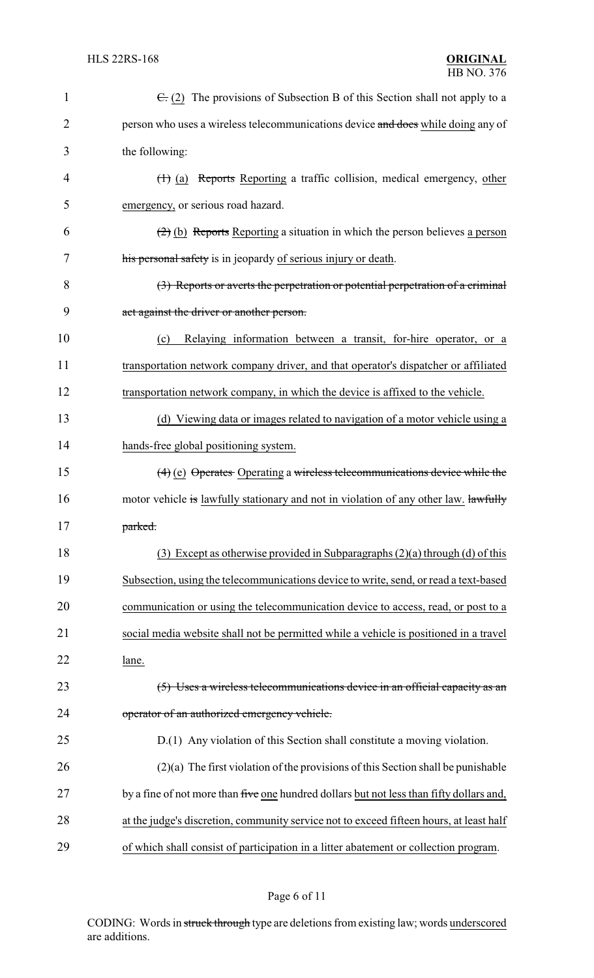| $\mathbf{1}$   | $\epsilon$ (2) The provisions of Subsection B of this Section shall not apply to a       |
|----------------|------------------------------------------------------------------------------------------|
| $\overline{2}$ | person who uses a wireless telecommunications device and does while doing any of         |
| 3              | the following:                                                                           |
| 4              | (1) (a) Reports Reporting a traffic collision, medical emergency, other                  |
| 5              | emergency, or serious road hazard.                                                       |
| 6              | $(2)$ (b) Reports Reporting a situation in which the person believes a person            |
| 7              | his personal safety is in jeopardy of serious injury or death.                           |
| 8              | (3) Reports or averts the perpetration or potential perpetration of a criminal           |
| 9              | act against the driver or another person.                                                |
| 10             | Relaying information between a transit, for-hire operator, or a<br>(c)                   |
| 11             | transportation network company driver, and that operator's dispatcher or affiliated      |
| 12             | transportation network company, in which the device is affixed to the vehicle.           |
| 13             | (d) Viewing data or images related to navigation of a motor vehicle using a              |
| 14             | hands-free global positioning system.                                                    |
| 15             | $(4)$ (e) Operates Operating a wireless telecommunications device while the              |
| 16             | motor vehicle is lawfully stationary and not in violation of any other law. lawfully     |
| 17             | parked.                                                                                  |
| 18             | (3) Except as otherwise provided in Subparagraphs $(2)(a)$ through $(d)$ of this         |
| 19             | Subsection, using the telecommunications device to write, send, or read a text-based     |
| 20             | communication or using the telecommunication device to access, read, or post to a        |
| 21             | social media website shall not be permitted while a vehicle is positioned in a travel    |
| 22             | lane.                                                                                    |
| 23             | (5) Uses a wireless telecommunications device in an official capacity as an              |
| 24             | operator of an authorized emergency vehicle.                                             |
| 25             | D.(1) Any violation of this Section shall constitute a moving violation.                 |
| 26             | $(2)(a)$ The first violation of the provisions of this Section shall be punishable       |
| 27             | by a fine of not more than five one hundred dollars but not less than fifty dollars and, |
| 28             | at the judge's discretion, community service not to exceed fifteen hours, at least half  |
| 29             | of which shall consist of participation in a litter abatement or collection program.     |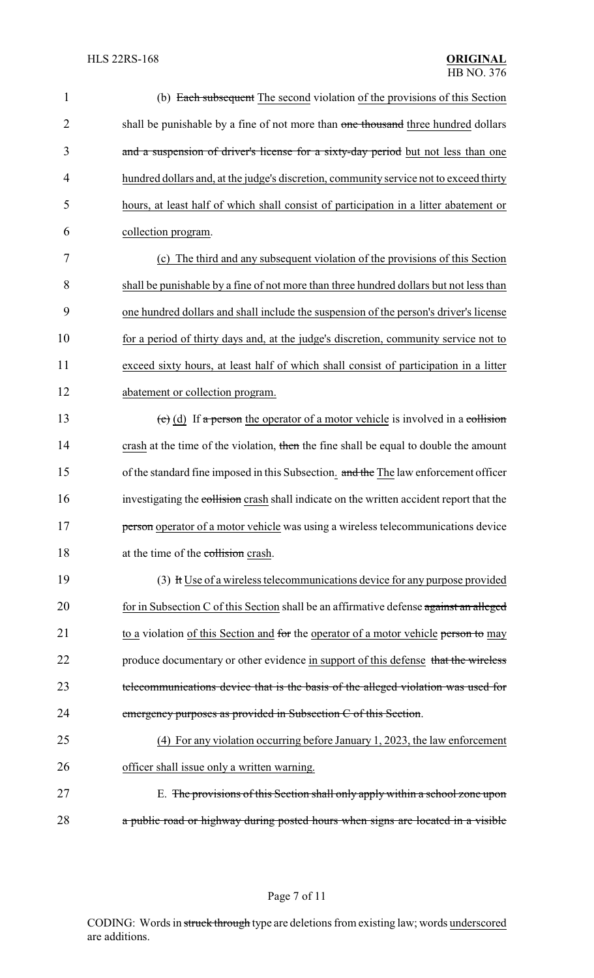| $\mathbf{1}$   | (b) Each subsequent The second violation of the provisions of this Section               |
|----------------|------------------------------------------------------------------------------------------|
| $\overline{2}$ | shall be punishable by a fine of not more than one thousand three hundred dollars        |
| 3              | and a suspension of driver's license for a sixty-day period but not less than one        |
| $\overline{4}$ | hundred dollars and, at the judge's discretion, community service not to exceed thirty   |
| 5              | hours, at least half of which shall consist of participation in a litter abatement or    |
| 6              | collection program.                                                                      |
| 7              | (c) The third and any subsequent violation of the provisions of this Section             |
| 8              | shall be punishable by a fine of not more than three hundred dollars but not less than   |
| 9              | one hundred dollars and shall include the suspension of the person's driver's license    |
| 10             | for a period of thirty days and, at the judge's discretion, community service not to     |
| 11             | exceed sixty hours, at least half of which shall consist of participation in a litter    |
| 12             | abatement or collection program.                                                         |
| 13             | (c) (d) If a person the operator of a motor vehicle is involved in a collision           |
| 14             | crash at the time of the violation, then the fine shall be equal to double the amount    |
| 15             | of the standard fine imposed in this Subsection. and the The law enforcement officer     |
| 16             | investigating the collision crash shall indicate on the written accident report that the |
| 17             | person operator of a motor vehicle was using a wireless telecommunications device        |
| 18             | at the time of the collision crash.                                                      |
| 19             | (3) It Use of a wireless telecommunications device for any purpose provided              |
| 20             | for in Subsection C of this Section shall be an affirmative defense against an alleged   |
| 21             | to a violation of this Section and for the operator of a motor vehicle person to may     |
| 22             | produce documentary or other evidence in support of this defense that the wireless       |
| 23             | telecommunications device that is the basis of the alleged violation was used for        |
| 24             | emergency purposes as provided in Subsection C of this Section.                          |
| 25             | (4) For any violation occurring before January 1, 2023, the law enforcement              |
| 26             | officer shall issue only a written warning.                                              |
| 27             | E. The provisions of this Section shall only apply within a school zone upon             |
| 28             | a public road or highway during posted hours when signs are located in a visible         |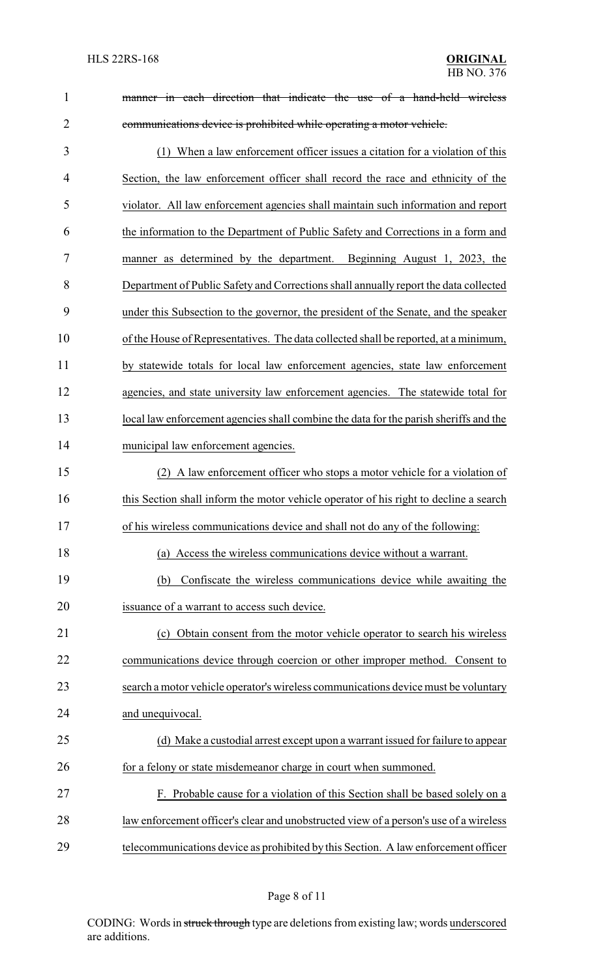| $\mathbf{1}$   | manner in each direction that indicate the use of a hand-held wireless                |  |
|----------------|---------------------------------------------------------------------------------------|--|
| $\overline{2}$ | communications device is prohibited while operating a motor vehicle.                  |  |
| 3              | (1) When a law enforcement officer issues a citation for a violation of this          |  |
| 4              | Section, the law enforcement officer shall record the race and ethnicity of the       |  |
| 5              | violator. All law enforcement agencies shall maintain such information and report     |  |
| 6              | the information to the Department of Public Safety and Corrections in a form and      |  |
| 7              | manner as determined by the department. Beginning August 1, 2023, the                 |  |
| 8              | Department of Public Safety and Corrections shall annually report the data collected  |  |
| 9              | under this Subsection to the governor, the president of the Senate, and the speaker   |  |
| 10             | of the House of Representatives. The data collected shall be reported, at a minimum,  |  |
| 11             | by statewide totals for local law enforcement agencies, state law enforcement         |  |
| 12             | agencies, and state university law enforcement agencies. The statewide total for      |  |
| 13             | local law enforcement agencies shall combine the data for the parish sheriffs and the |  |
| 14             | municipal law enforcement agencies.                                                   |  |
| 15             | (2) A law enforcement officer who stops a motor vehicle for a violation of            |  |
| 16             | this Section shall inform the motor vehicle operator of his right to decline a search |  |
| 17             | of his wireless communications device and shall not do any of the following:          |  |
| 18             | (a) Access the wireless communications device without a warrant.                      |  |
| 19             | Confiscate the wireless communications device while awaiting the<br>(b)               |  |
| 20             | issuance of a warrant to access such device.                                          |  |
| 21             | (c) Obtain consent from the motor vehicle operator to search his wireless             |  |
| 22             | communications device through coercion or other improper method. Consent to           |  |
| 23             | search a motor vehicle operator's wireless communications device must be voluntary    |  |
| 24             | and unequivocal.                                                                      |  |
| 25             | (d) Make a custodial arrest except upon a warrant issued for failure to appear        |  |
| 26             | for a felony or state misdemeanor charge in court when summoned.                      |  |
| 27             | F. Probable cause for a violation of this Section shall be based solely on a          |  |
| 28             | law enforcement officer's clear and unobstructed view of a person's use of a wireless |  |
| 29             | telecommunications device as prohibited by this Section. A law enforcement officer    |  |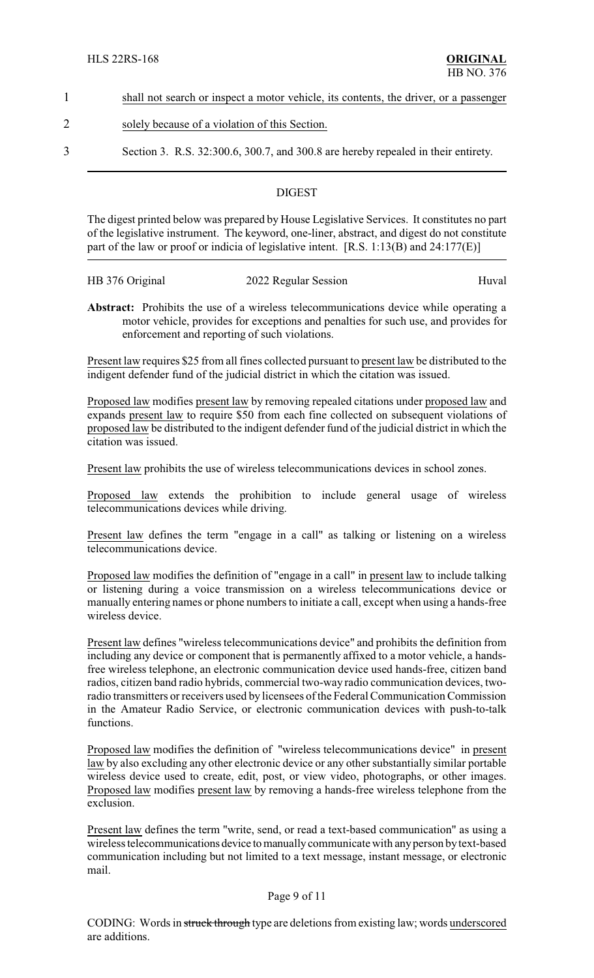- 1 shall not search or inspect a motor vehicle, its contents, the driver, or a passenger
- 2 solely because of a violation of this Section.
- 3 Section 3. R.S. 32:300.6, 300.7, and 300.8 are hereby repealed in their entirety.

### **DIGEST**

The digest printed below was prepared by House Legislative Services. It constitutes no part of the legislative instrument. The keyword, one-liner, abstract, and digest do not constitute part of the law or proof or indicia of legislative intent. [R.S. 1:13(B) and 24:177(E)]

| HB 376 Original | 2022 Regular Session | Huval |
|-----------------|----------------------|-------|
|                 |                      |       |

**Abstract:** Prohibits the use of a wireless telecommunications device while operating a motor vehicle, provides for exceptions and penalties for such use, and provides for enforcement and reporting of such violations.

Present law requires \$25 from all fines collected pursuant to present law be distributed to the indigent defender fund of the judicial district in which the citation was issued.

Proposed law modifies present law by removing repealed citations under proposed law and expands present law to require \$50 from each fine collected on subsequent violations of proposed law be distributed to the indigent defender fund of the judicial district in which the citation was issued.

Present law prohibits the use of wireless telecommunications devices in school zones.

Proposed law extends the prohibition to include general usage of wireless telecommunications devices while driving.

Present law defines the term "engage in a call" as talking or listening on a wireless telecommunications device.

Proposed law modifies the definition of "engage in a call" in present law to include talking or listening during a voice transmission on a wireless telecommunications device or manually entering names or phone numbers to initiate a call, except when using a hands-free wireless device.

Present law defines "wireless telecommunications device" and prohibits the definition from including any device or component that is permanently affixed to a motor vehicle, a handsfree wireless telephone, an electronic communication device used hands-free, citizen band radios, citizen band radio hybrids, commercial two-way radio communication devices, tworadio transmitters or receivers used by licensees of the Federal Communication Commission in the Amateur Radio Service, or electronic communication devices with push-to-talk functions.

Proposed law modifies the definition of "wireless telecommunications device" in present law by also excluding any other electronic device or any other substantially similar portable wireless device used to create, edit, post, or view video, photographs, or other images. Proposed law modifies present law by removing a hands-free wireless telephone from the exclusion.

Present law defines the term "write, send, or read a text-based communication" as using a wireless telecommunications device tomanuallycommunicate with anyperson bytext-based communication including but not limited to a text message, instant message, or electronic mail.

#### Page 9 of 11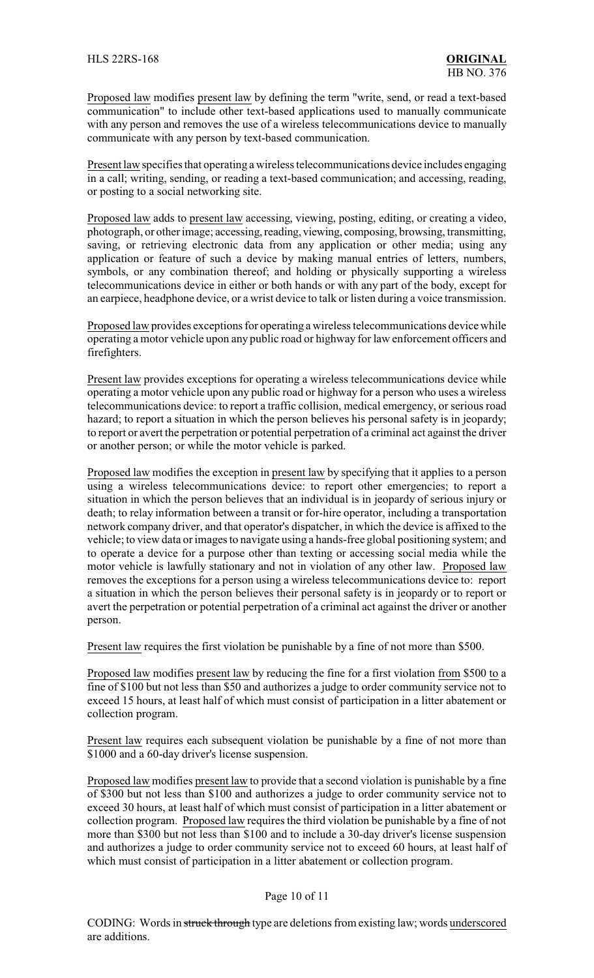Proposed law modifies present law by defining the term "write, send, or read a text-based communication" to include other text-based applications used to manually communicate with any person and removes the use of a wireless telecommunications device to manually communicate with any person by text-based communication.

Present law specifies that operating a wireless telecommunications device includes engaging in a call; writing, sending, or reading a text-based communication; and accessing, reading, or posting to a social networking site.

Proposed law adds to present law accessing, viewing, posting, editing, or creating a video, photograph, or other image; accessing, reading, viewing, composing, browsing, transmitting, saving, or retrieving electronic data from any application or other media; using any application or feature of such a device by making manual entries of letters, numbers, symbols, or any combination thereof; and holding or physically supporting a wireless telecommunications device in either or both hands or with any part of the body, except for an earpiece, headphone device, or a wrist device to talk or listen during a voice transmission.

Proposed law provides exceptions for operating a wireless telecommunications device while operating a motor vehicle upon any public road or highway for law enforcement officers and firefighters.

Present law provides exceptions for operating a wireless telecommunications device while operating a motor vehicle upon any public road or highway for a person who uses a wireless telecommunications device: to report a traffic collision, medical emergency, or serious road hazard; to report a situation in which the person believes his personal safety is in jeopardy; to report or avert the perpetration or potential perpetration of a criminal act against the driver or another person; or while the motor vehicle is parked.

Proposed law modifies the exception in present law by specifying that it applies to a person using a wireless telecommunications device: to report other emergencies; to report a situation in which the person believes that an individual is in jeopardy of serious injury or death; to relay information between a transit or for-hire operator, including a transportation network company driver, and that operator's dispatcher, in which the device is affixed to the vehicle; to view data or images to navigate using a hands-free global positioning system; and to operate a device for a purpose other than texting or accessing social media while the motor vehicle is lawfully stationary and not in violation of any other law. Proposed law removes the exceptions for a person using a wireless telecommunications device to: report a situation in which the person believes their personal safety is in jeopardy or to report or avert the perpetration or potential perpetration of a criminal act against the driver or another person.

Present law requires the first violation be punishable by a fine of not more than \$500.

Proposed law modifies present law by reducing the fine for a first violation from \$500 to a fine of \$100 but not less than \$50 and authorizes a judge to order community service not to exceed 15 hours, at least half of which must consist of participation in a litter abatement or collection program.

Present law requires each subsequent violation be punishable by a fine of not more than \$1000 and a 60-day driver's license suspension.

Proposed law modifies present law to provide that a second violation is punishable by a fine of \$300 but not less than \$100 and authorizes a judge to order community service not to exceed 30 hours, at least half of which must consist of participation in a litter abatement or collection program. Proposed law requires the third violation be punishable by a fine of not more than \$300 but not less than \$100 and to include a 30-day driver's license suspension and authorizes a judge to order community service not to exceed 60 hours, at least half of which must consist of participation in a litter abatement or collection program.

#### Page 10 of 11